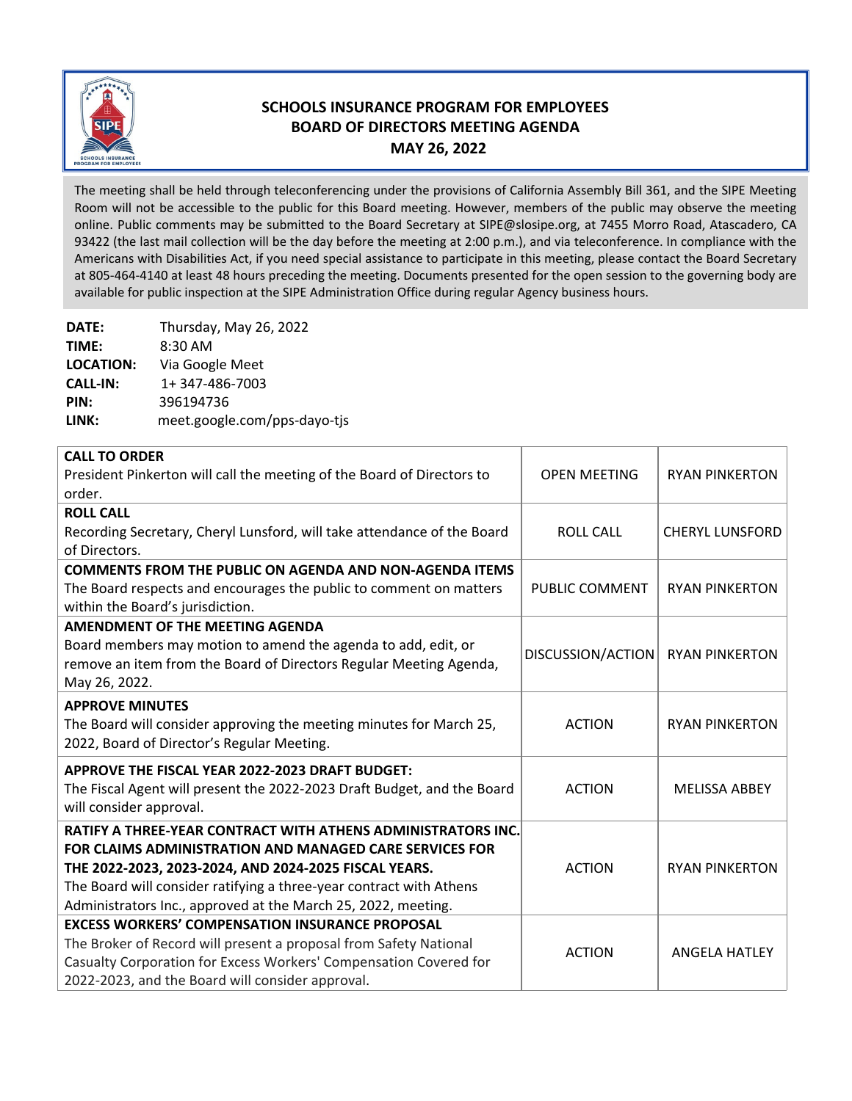

## **SCHOOLS INSURANCE PROGRAM FOR EMPLOYEES BOARD OF DIRECTORS MEETING AGENDA MAY 26, 2022**

The meeting shall be held through teleconferencing under the provisions of California Assembly Bill 361, and the SIPE Meeting Room will not be accessible to the public for this Board meeting. However, members of the public may observe the meeting online. Public comments may be submitted to the Board Secretary at SIPE@slosipe.org, at 7455 Morro Road, Atascadero, CA 93422 (the last mail collection will be the day before the meeting at 2:00 p.m.), and via teleconference. In compliance with the Americans with Disabilities Act, if you need special assistance to participate in this meeting, please contact the Board Secretary at 805‐464‐4140 at least 48 hours preceding the meeting. Documents presented for the open session to the governing body are available for public inspection at the SIPE Administration Office during regular Agency business hours.

**DATE:** Thursday, May 26, 2022 **TIME:** 8:30 AM **LOCATION:** Via Google Meet **CALL‐IN:** 1+ 347‐486‐7003 **PIN:** 396194736 LINK: meet.google.com/pps-dayo-tjs

| <b>CALL TO ORDER</b>                                                    |                     |                        |
|-------------------------------------------------------------------------|---------------------|------------------------|
| President Pinkerton will call the meeting of the Board of Directors to  | <b>OPEN MEETING</b> | <b>RYAN PINKERTON</b>  |
| order.                                                                  |                     |                        |
| <b>ROLL CALL</b>                                                        |                     |                        |
| Recording Secretary, Cheryl Lunsford, will take attendance of the Board | <b>ROLL CALL</b>    | <b>CHERYL LUNSFORD</b> |
| of Directors.                                                           |                     |                        |
| <b>COMMENTS FROM THE PUBLIC ON AGENDA AND NON-AGENDA ITEMS</b>          |                     |                        |
| The Board respects and encourages the public to comment on matters      | PUBLIC COMMENT      | <b>RYAN PINKERTON</b>  |
| within the Board's jurisdiction.                                        |                     |                        |
| <b>AMENDMENT OF THE MEETING AGENDA</b>                                  |                     |                        |
| Board members may motion to amend the agenda to add, edit, or           | DISCUSSION/ACTION   | <b>RYAN PINKERTON</b>  |
| remove an item from the Board of Directors Regular Meeting Agenda,      |                     |                        |
| May 26, 2022.                                                           |                     |                        |
| <b>APPROVE MINUTES</b>                                                  |                     |                        |
| The Board will consider approving the meeting minutes for March 25,     | <b>ACTION</b>       | <b>RYAN PINKERTON</b>  |
| 2022, Board of Director's Regular Meeting.                              |                     |                        |
| APPROVE THE FISCAL YEAR 2022-2023 DRAFT BUDGET:                         |                     |                        |
| The Fiscal Agent will present the 2022-2023 Draft Budget, and the Board | <b>ACTION</b>       | <b>MELISSA ABBEY</b>   |
| will consider approval.                                                 |                     |                        |
| <b>RATIFY A THREE-YEAR CONTRACT WITH ATHENS ADMINISTRATORS INC.</b>     |                     |                        |
| <b>FOR CLAIMS ADMINISTRATION AND MANAGED CARE SERVICES FOR</b>          |                     |                        |
| THE 2022-2023, 2023-2024, AND 2024-2025 FISCAL YEARS.                   | <b>ACTION</b>       | <b>RYAN PINKERTON</b>  |
| The Board will consider ratifying a three-year contract with Athens     |                     |                        |
| Administrators Inc., approved at the March 25, 2022, meeting.           |                     |                        |
| <b>EXCESS WORKERS' COMPENSATION INSURANCE PROPOSAL</b>                  |                     |                        |
| The Broker of Record will present a proposal from Safety National       | <b>ACTION</b>       | <b>ANGELA HATLEY</b>   |
| Casualty Corporation for Excess Workers' Compensation Covered for       |                     |                        |
| 2022-2023, and the Board will consider approval.                        |                     |                        |